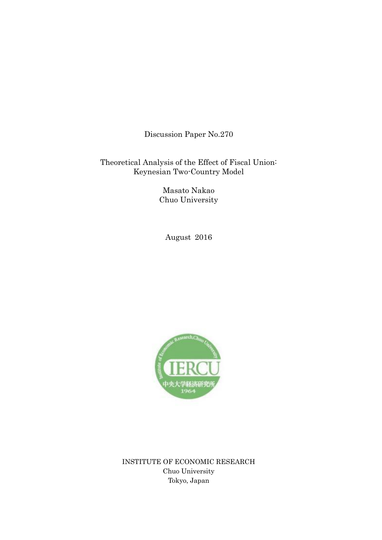Discussion Paper No.270

Theoretical Analysis of the Effect of Fiscal Union: Keynesian Two-Country Model

> Masato Nakao Chuo University

August 2016



INSTITUTE OF ECONOMIC RESEARCH Chuo University Tokyo, Japan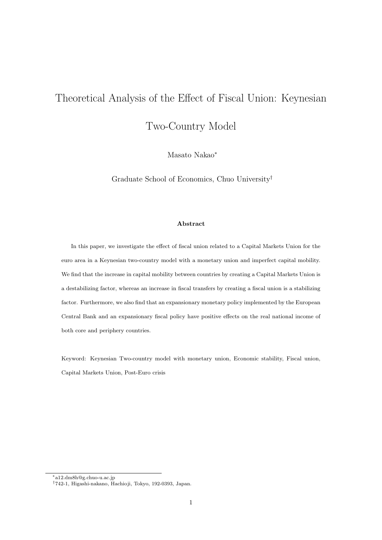# Theoretical Analysis of the Effect of Fiscal Union: Keynesian

Two-Country Model

Masato Nakao*<sup>∗</sup>*

Graduate School of Economics, Chuo University*†*

### **Abstract**

In this paper, we investigate the effect of fiscal union related to a Capital Markets Union for the euro area in a Keynesian two-country model with a monetary union and imperfect capital mobility. We find that the increase in capital mobility between countries by creating a Capital Markets Union is a destabilizing factor, whereas an increase in fiscal transfers by creating a fiscal union is a stabilizing factor. Furthermore, we also find that an expansionary monetary policy implemented by the European Central Bank and an expansionary fiscal policy have positive effects on the real national income of both core and periphery countries.

Keyword: Keynesian Two-country model with monetary union, Economic stability, Fiscal union, Capital Markets Union, Post-Euro crisis

*<sup>∗</sup>*a12.dm8h@g.chuo-u.ac.jp

*<sup>†</sup>*742-1, Higashi-nakano, Hachioji, Tokyo, 192-0393, Japan.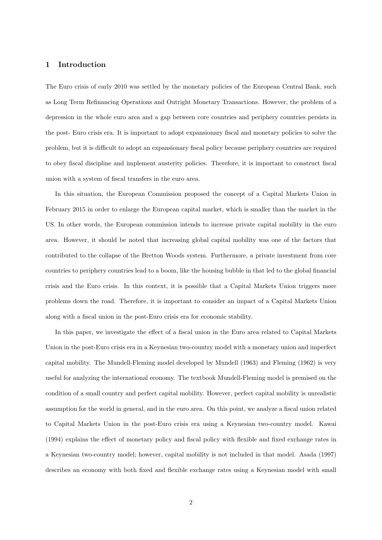### **1 Introduction**

The Euro crisis of early 2010 was settled by the monetary policies of the European Central Bank, such as Long Term Refinancing Operations and Outright Monetary Transactions. However, the problem of a depression in the whole euro area and a gap between core countries and periphery countries persists in the post- Euro crisis era. It is important to adopt expansionary fiscal and monetary policies to solve the problem, but it is difficult to adopt an expansionary fiscal policy because periphery countries are required to obey fiscal discipline and implement austerity policies. Therefore, it is important to construct fiscal union with a system of fiscal transfers in the euro area.

In this situation, the European Commission proposed the concept of a Capital Markets Union in February 2015 in order to enlarge the European capital market, which is smaller than the market in the US. In other words, the European commission intends to increase private capital mobility in the euro area. However, it should be noted that increasing global capital mobility was one of the factors that contributed to the collapse of the Bretton Woods system. Furthermore, a private investment from core countries to periphery countries lead to a boom, like the housing bubble in that led to the global financial crisis and the Euro crisis. In this context, it is possible that a Capital Markets Union triggers more problems down the road. Therefore, it is important to consider an impact of a Capital Markets Union along with a fiscal union in the post-Euro crisis era for economic stability.

In this paper, we investigate the effect of a fiscal union in the Euro area related to Capital Markets Union in the post-Euro crisis era in a Keynesian two-country model with a monetary union and imperfect capital mobility. The Mundell-Fleming model developed by Mundell (1963) and Fleming (1962) is very useful for analyzing the international economy. The textbook Mundell-Fleming model is premised on the condition of a small country and perfect capital mobility. However, perfect capital mobility is unrealistic assumption for the world in general, and in the euro area. On this point, we analyze a fiscal union related to Capital Markets Union in the post-Euro crisis era using a Keynesian two-country model. Kawai (1994) explains the effect of monetary policy and fiscal policy with flexible and fixed exchange rates in a Keynesian two-country model; however, capital mobility is not included in that model. Asada (1997) describes an economy with both fixed and flexible exchange rates using a Keynesian model with small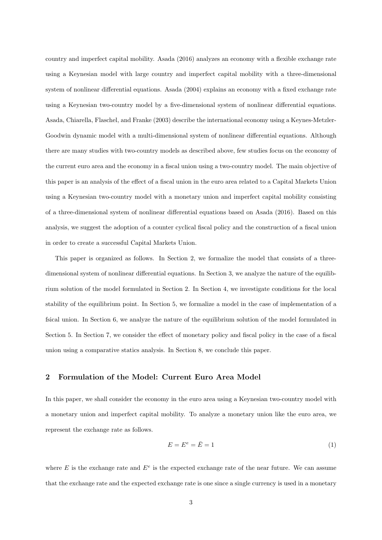country and imperfect capital mobility. Asada (2016) analyzes an economy with a flexible exchange rate using a Keynesian model with large country and imperfect capital mobility with a three-dimensional system of nonlinear differential equations. Asada (2004) explains an economy with a fixed exchange rate using a Keynesian two-country model by a five-dimensional system of nonlinear differential equations. Asada, Chiarella, Flaschel, and Franke (2003) describe the international economy using a Keynes-Metzler-Goodwin dynamic model with a multi-dimensional system of nonlinear differential equations. Although there are many studies with two-country models as described above, few studies focus on the economy of the current euro area and the economy in a fiscal union using a two-country model. The main objective of this paper is an analysis of the effect of a fiscal union in the euro area related to a Capital Markets Union using a Keynesian two-country model with a monetary union and imperfect capital mobility consisting of a three-dimensional system of nonlinear differential equations based on Asada (2016). Based on this analysis, we suggest the adoption of a counter cyclical fiscal policy and the construction of a fiscal union in order to create a successful Capital Markets Union.

This paper is organized as follows. In Section 2, we formalize the model that consists of a threedimensional system of nonlinear differential equations. In Section 3, we analyze the nature of the equilibrium solution of the model formulated in Section 2. In Section 4, we investigate conditions for the local stability of the equilibrium point. In Section 5, we formalize a model in the case of implementation of a fsical union. In Section 6, we analyze the nature of the equilibrium solution of the model formulated in Section 5. In Section 7, we consider the effect of monetary policy and fiscal policy in the case of a fiscal union using a comparative statics analysis. In Section 8, we conclude this paper.

## **2 Formulation of the Model: Current Euro Area Model**

In this paper, we shall consider the economy in the euro area using a Keynesian two-country model with a monetary union and imperfect capital mobility. To analyze a monetary union like the euro area, we represent the exchange rate as follows.

$$
E = E^e = \bar{E} = 1\tag{1}
$$

where  $E$  is the exchange rate and  $E^e$  is the expected exchange rate of the near future. We can assume that the exchange rate and the expected exchange rate is one since a single currency is used in a monetary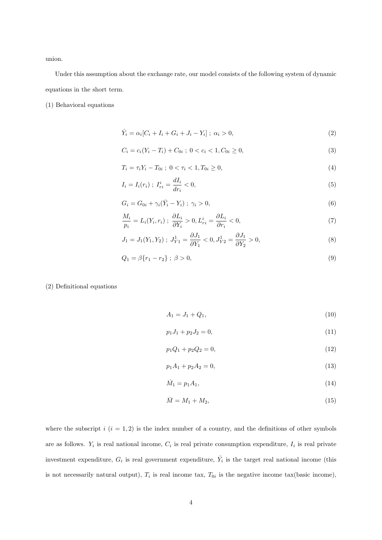union.

Under this assumption about the exchange rate, our model consists of the following system of dynamic equations in the short term.

(1) Behavioral equations

$$
\dot{Y}_i = \alpha_i [C_i + I_i + G_i + J_i - Y_i]; \ \alpha_i > 0,
$$
\n(2)

$$
C_i = c_i(Y_i - T_i) + C_{0i} \; ; \; 0 < c_i < 1, C_{0i} \ge 0,\tag{3}
$$

$$
T_i = \tau_i Y_i - T_{0i} \; ; \; 0 < \tau_i < 1, \, T_{0i} \ge 0,\tag{4}
$$

$$
I_i = I_i(r_i) \; ; \; I_{ri}^i = \frac{dI_i}{dr_i} < 0,\tag{5}
$$

$$
G_i = G_{0i} + \gamma_i(\bar{Y}_i - Y_i) \; ; \; \gamma_i > 0,\tag{6}
$$

$$
\frac{M_i}{p_i} = L_i(Y_i, r_i) \; ; \; \frac{\partial L_i}{\partial Y_i} > 0, \, L_{ri}^i = \frac{\partial L_i}{\partial r_i} < 0,\tag{7}
$$

$$
J_1 = J_1(Y_1, Y_2) \; ; \; J_{Y1}^1 = \frac{\partial J_1}{\partial Y_1} < 0, \; J_{Y2}^1 = \frac{\partial J_1}{\partial Y_2} > 0,\tag{8}
$$

$$
Q_1 = \beta \{r_1 - r_2\} \; ; \; \beta > 0,\tag{9}
$$

(2) Definitional equations

$$
A_1 = J_1 + Q_1,\t\t(10)
$$

$$
p_1 J_1 + p_2 J_2 = 0,\t\t(11)
$$

$$
p_1 Q_1 + p_2 Q_2 = 0,\t\t(12)
$$

$$
p_1 A_1 + p_2 A_2 = 0,\t\t(13)
$$

$$
\dot{M}_1 = p_1 A_1,\tag{14}
$$

$$
\bar{M} = M_1 + M_2,\tag{15}
$$

where the subscript  $i$  ( $i = 1, 2$ ) is the index number of a country, and the definitions of other symbols are as follows.  $Y_i$  is real national income,  $C_i$  is real private consumption expenditure,  $I_i$  is real private investment expenditure,  $G_i$  is real government expenditure,  $\bar{Y}_i$  is the target real national income (this is not necessarily natural output),  $T_i$  is real income tax,  $T_{0i}$  is the negative income tax(basic income),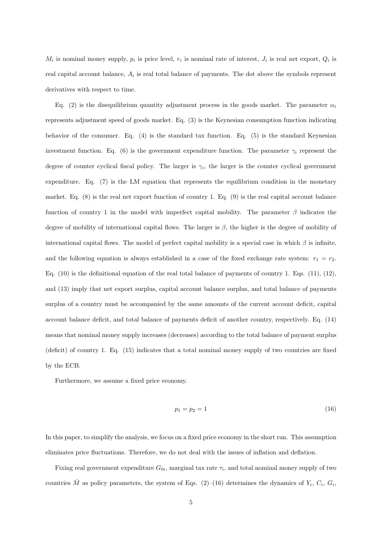$M_i$  is nominal money supply,  $p_i$  is price level,  $r_i$  is nominal rate of interest,  $J_i$  is real net export,  $Q_i$  is real capital account balance, *A<sup>i</sup>* is real total balance of payments. The dot above the symbols represent derivatives with respect to time.

Eq. (2) is the disequilibrium quantity adjustment process in the goods market. The parameter  $\alpha_i$ represents adjustment speed of goods market. Eq. (3) is the Keynesian consumption function indicating behavior of the consumer. Eq. (4) is the standard tax function. Eq. (5) is the standard Keynesian investment function. Eq. (6) is the government expenditure function. The parameter  $\gamma_i$  represent the degree of counter cyclical fiscal policy. The larger is  $\gamma_i$ , the larger is the counter cyclical government expenditure. Eq. (7) is the LM equation that represents the equilibrium condition in the monetary market. Eq. (8) is the real net export function of country 1. Eq. (9) is the real capital account balance function of country 1 in the model with imperfect capital mobility. The parameter *β* indicates the degree of mobility of international capital flows. The larger is *β*, the higher is the degree of mobility of international capital flows. The model of perfect capital mobility is a special case in which  $\beta$  is infinite, and the following equation is always established in a case of the fixed exchange rate system:  $r_1 = r_2$ . Eq.  $(10)$  is the definitional equation of the real total balance of payments of country 1. Eqs.  $(11)$ ,  $(12)$ , and (13) imply that net export surplus, capital account balance surplus, and total balance of payments surplus of a country must be accompanied by the same amounts of the current account deficit, capital account balance deficit, and total balance of payments deficit of another country, respectively. Eq. (14) means that nominal money supply increases (decreases) according to the total balance of payment surplus (deficit) of country 1. Eq. (15) indicates that a total nominal money supply of two countries are fixed by the ECB.

Furthermore, we assume a fixed price economy.

$$
p_1 = p_2 = 1 \tag{16}
$$

In this paper, to simplify the analysis, we focus on a fixed price economy in the short run. This assumption eliminates price fluctuations. Therefore, we do not deal with the issues of inflation and deflation.

Fixing real government expenditure  $G_{0i}$ , marginal tax rate  $\tau_i$ , and total nominal money supply of two countries  $\overline{M}$  as policy parameters, the system of Eqs. (2)–(16) determines the dynamics of  $Y_i$ ,  $C_i$ ,  $G_i$ ,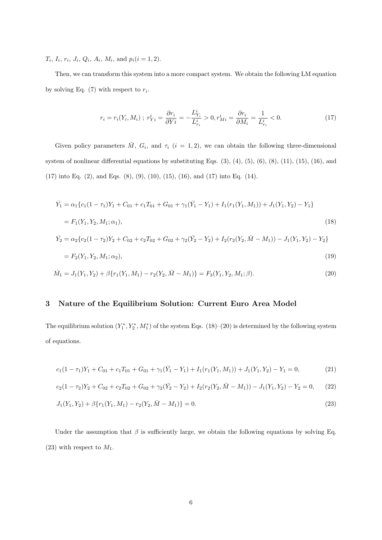$T_i$ ,  $I_i$ ,  $r_i$ ,  $J_i$ ,  $Q_i$ ,  $A_i$ ,  $M_i$ , and  $p_i(i = 1, 2)$ .

Then, we can transform this system into a more compact system. We obtain the following LM equation by solving Eq.  $(7)$  with respect to  $r_i$ .

$$
r_i = r_i(Y_i, M_i) \; ; \; r_{Yi}^i = \frac{\partial r_i}{\partial Y_i} = -\frac{L_{Y_i}^i}{L_{r_i}^i} > 0, \; r_{Mi}^i = \frac{\partial r_i}{\partial M_i} = \frac{1}{L_{r_i}^i} < 0. \tag{17}
$$

Given policy parameters  $\overline{M}$ ,  $G_i$ , and  $\tau_i$  (*i* = 1,2), we can obtain the following three-dimensional system of nonlinear differential equations by substituting Eqs. (3), (4), (5), (6), (8), (11), (15), (16), and (17) into Eq. (2), and Eqs. (8), (9), (10), (15), (16), and (17) into Eq. (14).

$$
\dot{Y}_1 = \alpha_1 \{ c_1 (1 - \tau_1) Y_1 + C_{01} + c_1 T_{01} + G_{01} + \gamma_1 (\bar{Y}_1 - Y_1) + I_1 (r_1 (Y_1, M_1)) + J_1 (Y_1, Y_2) - Y_1 \}
$$
\n
$$
= F_1 (Y_1, Y_2, M_1; \alpha_1),
$$
\n
$$
\dot{Y}_2 = \alpha_2 \{ c_2 (1 - \tau_2) Y_2 + C_{02} + c_2 T_{02} + G_{02} + \gamma_2 (\bar{Y}_2 - Y_2) + I_2 (r_2 (Y_2, \bar{M} - M_1)) - J_1 (Y_1, Y_2) - Y_2 \}
$$
\n
$$
= F_2 (Y_1, Y_2, M_1; \alpha_2),
$$
\n(19)

$$
\dot{M}_1 = J_1(Y_1, Y_2) + \beta \{r_1(Y_1, M_1) - r_2(Y_2, \bar{M} - M_1)\} = F_3(Y_1, Y_2, M_1; \beta). \tag{20}
$$

## **3 Nature of the Equilibrium Solution: Current Euro Area Model**

The equilibrium solution  $(Y_1^*, Y_2^*, M_1^*)$  of the system Eqs. (18)–(20) is determined by the following system of equations.

$$
c_1(1-\tau_1)Y_1 + C_{01} + c_1T_{01} + G_{01} + \gamma_1(\bar{Y}_1 - Y_1) + I_1(r_1(Y_1, M_1)) + J_1(Y_1, Y_2) - Y_1 = 0,
$$
\n(21)

$$
c_2(1 - \tau_2)Y_2 + C_{02} + c_2T_{02} + G_{02} + \gamma_2(\bar{Y}_2 - Y_2) + I_2(r_2(Y_2, \bar{M} - M_1)) - J_1(Y_1, Y_2) - Y_2 = 0,\tag{22}
$$

$$
J_1(Y_1, Y_2) + \beta \{r_1(Y_1, M_1) - r_2(Y_2, \bar{M} - M_1)\} = 0.
$$
\n(23)

Under the assumption that  $\beta$  is sufficiently large, we obtain the following equations by solving Eq.  $(23)$  with respect to  $M_1$ .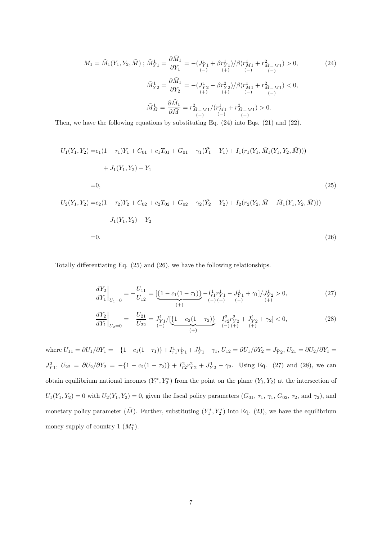$$
M_1 = \tilde{M}_1(Y_1, Y_2, \bar{M}) ; \tilde{M}_{Y1}^1 = \frac{\partial \tilde{M}_1}{\partial Y_1} = -(J_{Y1}^1 + \beta r_{Y1}^1) / \beta (r_{M1}^1 + r_{\bar{M} - M1}^2) > 0,
$$
\n
$$
\tilde{M}_{Y2}^1 = \frac{\partial \tilde{M}_1}{\partial Y_2} = -(J_{Y2}^1 - \beta r_{Y2}^2) / \beta (r_{M1}^1 + r_{\bar{M} - M1}^2) < 0,
$$
\n
$$
\tilde{M}_{\bar{M}}^1 = \frac{\partial \tilde{M}_1}{\partial \bar{M}} = r_{\bar{M} - M1}^2 / (r_{M1}^1 + r_{\bar{M} - M1}^2) > 0.
$$
\n
$$
(24)
$$
\n
$$
\tilde{M}_{\bar{M}}^1 = \frac{\partial \tilde{M}_1}{\partial \bar{M}} = r_{\bar{M} - M1}^2 / (r_{M1}^1 + r_{\bar{M} - M1}^2) > 0.
$$

Then, we have the following equations by substituting Eq. (24) into Eqs. (21) and (22).

$$
U_1(Y_1, Y_2) = c_1(1 - \tau_1)Y_1 + C_{01} + c_1T_{01} + G_{01} + \gamma_1(\bar{Y}_1 - Y_1) + I_1(r_1(Y_1, \tilde{M}_1(Y_1, Y_2, \bar{M})))
$$
  
+  $J_1(Y_1, Y_2) - Y_1$   
= 0,  

$$
U_2(Y_1, Y_2) = c_2(1 - \tau_2)Y_2 + C_{02} + c_2T_{02} + G_{02} + \gamma_2(\bar{Y}_2 - Y_2) + I_2(r_2(Y_2, \bar{M} - \tilde{M}_1(Y_1, Y_2, \bar{M})))
$$
  
-  $J_1(Y_1, Y_2) - Y_2$  (25)

$$
=0.\t(26)
$$

Totally differentiating Eq. (25) and (26), we have the following relationships.

$$
\left. \frac{dY_2}{dY_1} \right|_{U_1=0} = -\frac{U_{11}}{U_{12}} = \left[ \underbrace{\{1 - c_1(1-\tau_1)\}}_{(+)} - \underbrace{I_{r1}^1 r_{Y1}^1}_{(-) (+)} - \underbrace{J_{Y1}^1}_{(-)} + \gamma_1 \right] / \underbrace{J_{Y2}^1}_{(+)} > 0,\tag{27}
$$

$$
\left. \frac{dY_2}{dY_1} \right|_{U_2=0} = -\frac{U_{21}}{U_{22}} = J_{Y1}^1 / \left[ \underbrace{\{1 - c_2(1 - \tau_2)\}}_{(+)}\right] - I_{r2}^2 r_{Y2}^2 + J_{Y2}^1 + \gamma_2 \right] < 0,\tag{28}
$$

where  $U_{11} = \partial U_1/\partial Y_1 = -\{1 - c_1(1 - \tau_1)\} + I_{r_1}^1 r_{Y_1}^1 + J_{Y_1}^1 - \gamma_1$ ,  $U_{12} = \partial U_1/\partial Y_2 = J_{Y_2}^1$ ,  $U_{21} = \partial U_2/\partial Y_1 =$  $J_{Y1}^2$ ,  $U_{22} = \partial U_2 / \partial Y_2 = -\{1 - c_2(1 - \tau_2)\} + I_{r2}^2 r_{Y2}^2 + J_{Y2}^1 - \gamma_2$ . Using Eq. (27) and (28), we can obtain equilibrium national incomes  $(Y_1^*, Y_2^*)$  from the point on the plane  $(Y_1, Y_2)$  at the intersection of  $U_1(Y_1, Y_2) = 0$  with  $U_2(Y_1, Y_2) = 0$ , given the fiscal policy parameters  $(G_{01}, \tau_1, \gamma_1, G_{02}, \tau_2, \text{ and } \gamma_2)$ , and monetary policy parameter  $(\bar{M})$ . Further, substituting  $(Y_1^*, Y_2^*)$  into Eq. (23), we have the equilibrium money supply of country 1  $(M_1^*)$ .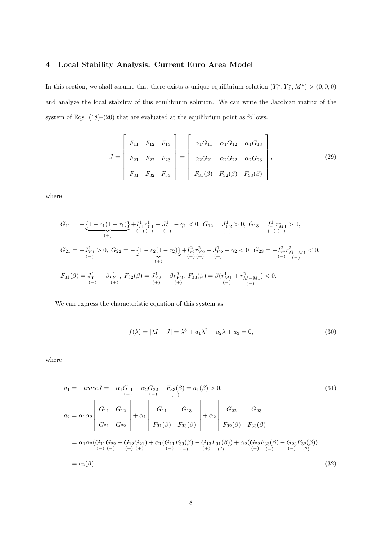# **4 Local Stability Analysis: Current Euro Area Model**

In this section, we shall assume that there exists a unique equilibrium solution  $(Y_1^*, Y_2^*, M_1^*)$  >  $(0,0,0)$ and analyze the local stability of this equilibrium solution. We can write the Jacobian matrix of the system of Eqs. (18)–(20) that are evaluated at the equilibrium point as follows.

$$
J = \begin{bmatrix} F_{11} & F_{12} & F_{13} \\ F_{21} & F_{22} & F_{23} \\ F_{31} & F_{32} & F_{33} \end{bmatrix} = \begin{bmatrix} \alpha_1 G_{11} & \alpha_1 G_{12} & \alpha_1 G_{13} \\ \alpha_2 G_{21} & \alpha_2 G_{22} & \alpha_2 G_{23} \\ F_{31}(\beta) & F_{32}(\beta) & F_{33}(\beta) \end{bmatrix},
$$
(29)

where

$$
\begin{aligned} G_{11} & = -\underbrace{\left\{1-c_{1}\big(1-\tau_{1}\big)\right\}}_{\left(+\right)} + I^{1}_{r1}r^{1}_{Y1} + J^{1}_{Y1} - \gamma_{1} < 0, \ G_{12} = J^{1}_{Y2} > 0, \ G_{13} = I^{1}_{r1}r^{1}_{M1} > 0, \\ & \xrightarrow{\left(-\right)} \\ G_{21} & = -J^{1}_{Y1} > 0, \ G_{22} = -\underbrace{\left\{1-c_{2}\big(1-\tau_{2}\big)\right\}}_{\left(+\right)} + I^{2}_{r2}r^{2}_{Y2} - J^{1}_{Y2} - \gamma_{2} < 0, \ G_{23} = -I^{2}_{r2}r^{2}_{\bar{M} - M1} < 0, \\ & \xrightarrow{\left(-\right)} \\ F_{31}(\beta) & = J^{1}_{Y1} + \beta r^{1}_{Y1}, \ F_{32}(\beta) = J^{1}_{Y2} - \beta r^{2}_{Y2}, \ F_{33}(\beta) = \beta(r^{1}_{M1} + r^{2}_{\bar{M} - M1}) < 0. \\ & \xrightarrow{\left(-\right)} \\ & \xrightarrow{\left(-\right)} \\ & \xrightarrow{\left(-\right)} \\ \end{aligned}
$$

We can express the characteristic equation of this system as

$$
f(\lambda) = |\lambda I - J| = \lambda^3 + a_1 \lambda^2 + a_2 \lambda + a_3 = 0,
$$
\n(30)

where

$$
a_{1} = -traceJ = -\alpha_{1}G_{11} - \alpha_{2}G_{22} - F_{33}(\beta) = a_{1}(\beta) > 0,
$$
\n
$$
a_{2} = \alpha_{1}\alpha_{2} \begin{vmatrix} G_{11} & G_{12} \\ G_{21} & G_{22} \end{vmatrix} + \alpha_{1} \begin{vmatrix} G_{11} & G_{13} \\ F_{31}(\beta) & F_{33}(\beta) \end{vmatrix} + \alpha_{2} \begin{vmatrix} G_{22} & G_{23} \\ F_{32}(\beta) & F_{33}(\beta) \end{vmatrix}
$$
\n
$$
= \alpha_{1}\alpha_{2}(G_{11}G_{22} - G_{12}G_{21}) + \alpha_{1}(G_{11}F_{33}(\beta) - G_{13}F_{31}(\beta)) + \alpha_{2}(G_{22}F_{33}(\beta) - G_{23}F_{32}(\beta))
$$
\n
$$
= \alpha_{2}(\beta),
$$
\n(32)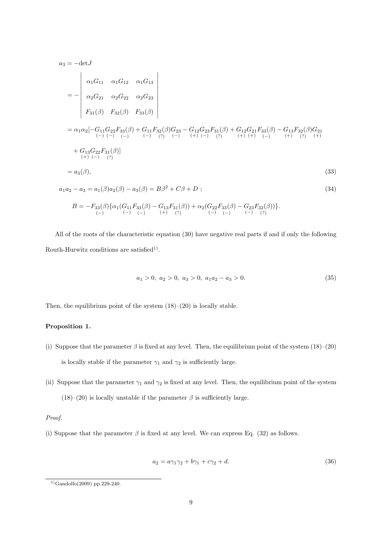*a*<sup>3</sup> = *−*det*J* = *− α*1*G*<sup>11</sup> *α*1*G*<sup>12</sup> *α*1*G*<sup>13</sup> *α*2*G*<sup>21</sup> *α*2*G*<sup>22</sup> *α*2*G*<sup>23</sup> *F*31(*β*) *F*32(*β*) *F*33(*β*) = *α*1*α*2[*−G*<sup>11</sup> (*−*) *G*<sup>22</sup> (*−*) *F*33(*β*) (*−*) + *G*<sup>11</sup> (*−*) *F*32(*β*) (?) *G*<sup>23</sup> (*−*) *− G*<sup>12</sup> (+) *G*<sup>23</sup> (*−*) *F*31(*β*) (?) + *G*<sup>12</sup> (+) *G*<sup>21</sup> (+) *F*33(*β*) (*−*) *− G*<sup>13</sup> (+) *F*32(*β*) (?) *G*<sup>21</sup> (+) + *G*<sup>13</sup> (+) *G*<sup>22</sup> (*−*) *F*31(*β*) (?) ] = *a*3(*β*)*,* (33) *a*1*a*<sup>2</sup> *− a*<sup>3</sup> = *a*1(*β*)*a*2(*β*) *− a*3(*β*) = *Bβ*<sup>2</sup> + *Cβ* + *D* ; (34) *B* = *−F*33(*β*) *{α*1(*G*<sup>11</sup> *F*33(*β*) *− G*<sup>13</sup> (+) *F*31(*β*) (?) ) + *α*2(*G*<sup>22</sup> *F*33(*β*) *− G*<sup>23</sup> *F*32(*β*) (?) )*}.*

All of the roots of the characteristic equation (30) have negative real parts if and if only the following Routh-Hurwitz conditions are satisfied<sup>1</sup>.

(*−*)

(*−*)

(*−*)

$$
a_1 > 0, \ a_2 > 0, \ a_3 > 0, \ a_1 a_2 - a_3 > 0. \tag{35}
$$

Then, the equilibrium point of the system  $(18)–(20)$  is locally stable.

### **Proposition 1.**

(*−*)

(*−*)

(*−*)

- (i) Suppose that the parameter  $\beta$  is fixed at any level. Then, the equilibrium point of the system (18)–(20) is locally stable if the parameter  $\gamma_1$  and  $\gamma_2$  is sufficiently large.
- (ii) Suppose that the parameter  $\gamma_1$  and  $\gamma_2$  is fixed at any level. Then, the equilibrium point of the system (18)–(20) is locally unstable if the parameter  $\beta$  is sufficiently large.

# *Proof.*

(i) Suppose that the parameter  $\beta$  is fixed at any level. We can express Eq. (32) as follows.

$$
a_2 = a\gamma_1 \gamma_2 + b\gamma_1 + c\gamma_2 + d. \tag{36}
$$

<sup>1)</sup>Gandolfo(2009) pp.229-240.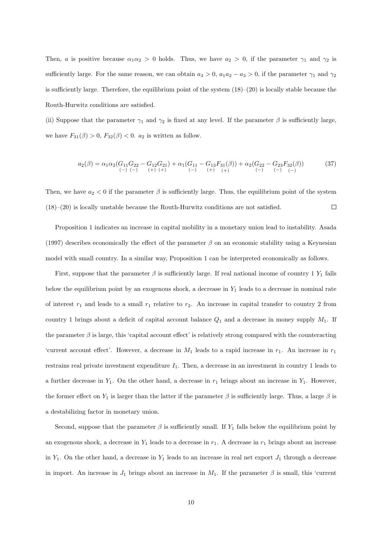Then, *a* is positive because  $\alpha_1 \alpha_2 > 0$  holds. Thus, we have  $a_2 > 0$ , if the parameter  $\gamma_1$  and  $\gamma_2$  is sufficiently large. For the same reason, we can obtain  $a_3 > 0$ ,  $a_1a_2 - a_3 > 0$ , if the parameter  $\gamma_1$  and  $\gamma_2$ is sufficiently large. Therefore, the equilibrium point of the system  $(18)–(20)$  is locally stable because the Routh-Hurwitz conditions are satisfied.

(ii) Suppose that the parameter  $\gamma_1$  and  $\gamma_2$  is fixed at any level. If the parameter  $\beta$  is sufficiently large, we have  $F_{31}(\beta) > 0$ ,  $F_{32}(\beta) < 0$ .  $a_2$  is written as follow.

$$
a_2(\beta) = \alpha_1 \alpha_2 (G_{11} G_{22} - G_{12} G_{21}) + \alpha_1 (G_{11} - G_{13} F_{31}(\beta)) + \alpha_2 (G_{22} - G_{23} F_{32}(\beta))
$$
(37)

Then, we have  $a_2 < 0$  if the parameter  $\beta$  is sufficiently large. Thus, the equilibrium point of the system (18)–(20) is locally unstable because the Routh-Hurwitz conditions are not satisfied.  $\Box$ 

Proposition 1 indicates an increase in capital mobility in a monetary union lead to instability. Asada (1997) describes economically the effect of the parameter *β* on an economic stability using a Keynesian model with small country. In a similar way, Proposition 1 can be interpreted economically as follows.

First, suppose that the parameter  $\beta$  is sufficiently large. If real national income of country 1  $Y_1$  falls below the equilibrium point by an exogenous shock, a decrease in *Y*<sup>1</sup> leads to a decrease in nominal rate of interest  $r_1$  and leads to a small  $r_1$  relative to  $r_2$ . An increase in capital transfer to country 2 from country 1 brings about a deficit of capital account balance  $Q_1$  and a decrease in money supply  $M_1$ . If the parameter  $\beta$  is large, this 'capital account effect' is relatively strong compared with the counteracting 'current account effect'. However, a decrease in  $M_1$  leads to a rapid increase in  $r_1$ . An increase in  $r_1$ restrains real private investment expenditure *I*1. Then, a decrease in an investment in country 1 leads to a further decrease in  $Y_1$ . On the other hand, a decrease in  $r_1$  brings about an increase in  $Y_1$ . However, the former effect on  $Y_1$  is larger than the latter if the parameter  $\beta$  is sufficiently large. Thus, a large  $\beta$  is a destabilizing factor in monetary union.

Second, suppose that the parameter  $\beta$  is sufficiently small. If  $Y_1$  falls below the equilibrium point by an exogenous shock, a decrease in  $Y_1$  leads to a decrease in  $r_1$ . A decrease in  $r_1$  brings about an increase in  $Y_1$ . On the other hand, a decrease in  $Y_1$  leads to an increase in real net export  $J_1$  through a decrease in import. An increase in  $J_1$  brings about an increase in  $M_1$ . If the parameter  $\beta$  is small, this 'current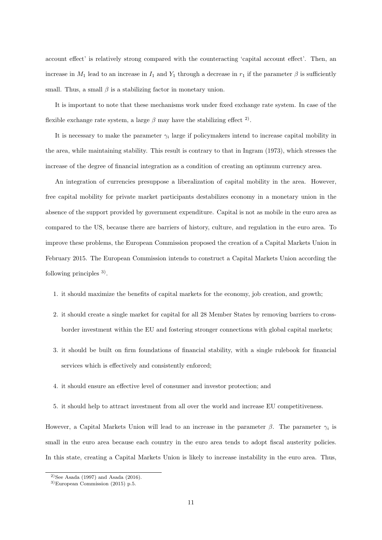account effect' is relatively strong compared with the counteracting 'capital account effect'. Then, an increase in  $M_1$  lead to an increase in  $I_1$  and  $Y_1$  through a decrease in  $r_1$  if the parameter  $\beta$  is sufficiently small. Thus, a small  $\beta$  is a stabilizing factor in monetary union.

It is important to note that these mechanisms work under fixed exchange rate system. In case of the flexible exchange rate system, a large  $\beta$  may have the stabilizing effect <sup>2</sup>.

It is necessary to make the parameter  $\gamma_i$  large if policymakers intend to increase capital mobility in the area, while maintaining stability. This result is contrary to that in Ingram (1973), which stresses the increase of the degree of financial integration as a condition of creating an optimum currency area.

An integration of currencies presuppose a liberalization of capital mobility in the area. However, free capital mobility for private market participants destabilizes economy in a monetary union in the absence of the support provided by government expenditure. Capital is not as mobile in the euro area as compared to the US, because there are barriers of history, culture, and regulation in the euro area. To improve these problems, the European Commission proposed the creation of a Capital Markets Union in February 2015. The European Commission intends to construct a Capital Markets Union according the following principles <sup>3)</sup>.

- 1. it should maximize the benefits of capital markets for the economy, job creation, and growth;
- 2. it should create a single market for capital for all 28 Member States by removing barriers to crossborder investment within the EU and fostering stronger connections with global capital markets;
- 3. it should be built on firm foundations of financial stability, with a single rulebook for financial services which is effectively and consistently enforced;
- 4. it should ensure an effective level of consumer and investor protection; and
- 5. it should help to attract investment from all over the world and increase EU competitiveness.

However, a Capital Markets Union will lead to an increase in the parameter  $\beta$ . The parameter  $\gamma_i$  is small in the euro area because each country in the euro area tends to adopt fiscal austerity policies. In this state, creating a Capital Markets Union is likely to increase instability in the euro area. Thus,

<sup>&</sup>lt;sup>2)</sup>See Asada (1997) and Asada (2016).

<sup>3)</sup>European Commission (2015) p.5.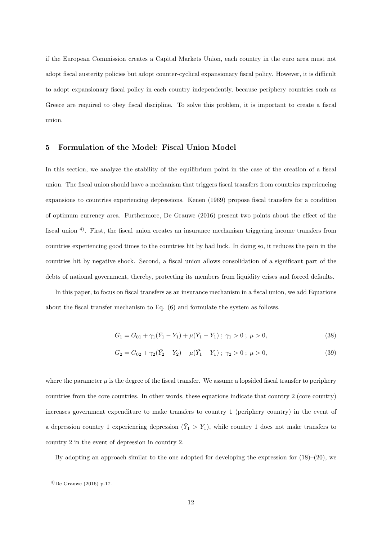if the European Commission creates a Capital Markets Union, each country in the euro area must not adopt fiscal austerity policies but adopt counter-cyclical expansionary fiscal policy. However, it is difficult to adopt expansionary fiscal policy in each country independently, because periphery countries such as Greece are required to obey fiscal discipline. To solve this problem, it is important to create a fiscal union.

#### **5 Formulation of the Model: Fiscal Union Model**

In this section, we analyze the stability of the equilibrium point in the case of the creation of a fiscal union. The fiscal union should have a mechanism that triggers fiscal transfers from countries experiencing expansions to countries experiencing depressions. Kenen (1969) propose fiscal transfers for a condition of optimum currency area. Furthermore, De Grauwe (2016) present two points about the effect of the fiscal union 4). First, the fiscal union creates an insurance mechanism triggering income transfers from countries experiencing good times to the countries hit by bad luck. In doing so, it reduces the pain in the countries hit by negative shock. Second, a fiscal union allows consolidation of a significant part of the debts of national government, thereby, protecting its members from liquidity crises and forced defaults.

In this paper, to focus on fiscal transfers as an insurance mechanism in a fiscal union, we add Equations about the fiscal transfer mechanism to Eq. (6) and formulate the system as follows.

$$
G_1 = G_{01} + \gamma_1(\bar{Y}_1 - Y_1) + \mu(\bar{Y}_1 - Y_1) ; \ \gamma_1 > 0 ; \ \mu > 0,
$$
\n(38)

$$
G_2 = G_{02} + \gamma_2(\bar{Y}_2 - Y_2) - \mu(\bar{Y}_1 - Y_1) ; \ \gamma_2 > 0 ; \ \mu > 0,
$$
\n(39)

where the parameter  $\mu$  is the degree of the fiscal transfer. We assume a lopsided fiscal transfer to periphery countries from the core countries. In other words, these equations indicate that country 2 (core country) increases government expenditure to make transfers to country 1 (periphery country) in the event of a depression country 1 experiencing depression  $(\bar{Y}_1 > Y_1)$ , while country 1 does not make transfers to country 2 in the event of depression in country 2.

By adopting an approach similar to the one adopted for developing the expression for  $(18)–(20)$ , we

 $^{(4)}$ De Grauwe (2016) p.17.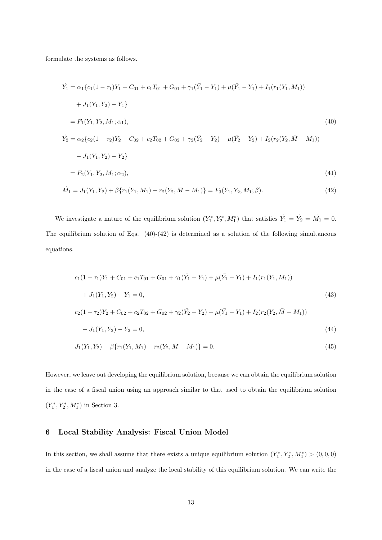formulate the systems as follows.

$$
\dot{Y}_1 = \alpha_1 \{c_1(1 - \tau_1)Y_1 + C_{01} + c_1T_{01} + G_{01} + \gamma_1(\bar{Y}_1 - Y_1) + \mu(\bar{Y}_1 - Y_1) + I_1(r_1(Y_1, M_1))
$$
\n
$$
+ J_1(Y_1, Y_2) - Y_1\}
$$
\n
$$
= F_1(Y_1, Y_2, M_1; \alpha_1),
$$
\n
$$
\dot{Y}_2 = \alpha_2 \{c_2(1 - \tau_2)Y_2 + C_{02} + c_2T_{02} + G_{02} + \gamma_2(\bar{Y}_2 - Y_2) - \mu(\bar{Y}_2 - Y_2) + I_2(r_2(Y_2, \bar{M} - M_1))
$$
\n
$$
- J_1(Y_1, Y_2) - Y_2\}
$$
\n
$$
= F_2(Y_1, Y_2, M_1; \alpha_2),
$$
\n
$$
\dot{M}_1 = J_1(Y_1, Y_2) + \beta \{r_1(Y_1, M_1) - r_2(Y_2, \bar{M} - M_1)\} = F_3(Y_1, Y_2, M_1; \beta).
$$
\n(42)

We investigate a nature of the equilibrium solution  $(Y_1^*, Y_2^*, M_1^*)$  that satisfies  $\dot{Y}_1 = \dot{Y}_2 = \dot{M}_1 = 0$ . The equilibrium solution of Eqs.  $(40)-(42)$  is determined as a solution of the following simultaneous equations.

$$
c_1(1 - \tau_1)Y_1 + C_{01} + c_1T_{01} + G_{01} + \gamma_1(\bar{Y}_1 - Y_1) + \mu(\bar{Y}_1 - Y_1) + I_1(r_1(Y_1, M_1))
$$
  
+  $J_1(Y_1, Y_2) - Y_1 = 0,$   

$$
c_2(1 - \tau_2)Y_2 + C_{02} + c_2T_{02} + G_{02} + \gamma_2(\bar{Y}_2 - Y_2) - \mu(\bar{Y}_1 - Y_1) + I_2(r_2(Y_2, \bar{M} - M_1))
$$
\n(43)

$$
-J_1(Y_1, Y_2) - Y_2 = 0,\t\t(44)
$$

$$
J_1(Y_1, Y_2) + \beta \{r_1(Y_1, M_1) - r_2(Y_2, \bar{M} - M_1)\} = 0.
$$
\n
$$
(45)
$$

However, we leave out developing the equilibrium solution, because we can obtain the equilibrium solution in the case of a fiscal union using an approach similar to that used to obtain the equilibrium solution  $(Y_1^*, Y_2^*, M_1^*)$  in Section 3.

## **6 Local Stability Analysis: Fiscal Union Model**

In this section, we shall assume that there exists a unique equilibrium solution  $(Y_1^*, Y_2^*, M_1^*)$  >  $(0,0,0)$ in the case of a fiscal union and analyze the local stability of this equilibrium solution. We can write the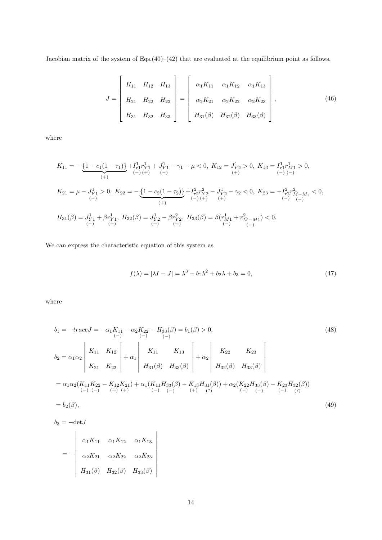Jacobian matrix of the system of Eqs.(40)–(42) that are evaluated at the equilibrium point as follows.

$$
J = \begin{bmatrix} H_{11} & H_{12} & H_{13} \\ H_{21} & H_{22} & H_{23} \\ H_{31} & H_{32} & H_{33} \end{bmatrix} = \begin{bmatrix} \alpha_1 K_{11} & \alpha_1 K_{12} & \alpha_1 K_{13} \\ \alpha_2 K_{21} & \alpha_2 K_{22} & \alpha_2 K_{23} \\ H_{31}(\beta) & H_{32}(\beta) & H_{33}(\beta) \end{bmatrix},
$$
(46)

where

$$
\begin{split} K_{11}=&-\underbrace{\left\{1-c_{1}(1-\tau_{1})\right\}}_{(+)}+I_{r1}^{1}r_{Y1}^{1}+J_{Y1}^{1}-\gamma_{1}-\mu<0,\ K_{12}=J_{Y2}^{1}>0,\ K_{13}=I_{r1}^{1}r_{M1}^{1}>0,\\ &\stackrel{(+)}{(-)}\stackrel{(-)}{(-)}\\ &\stackrel{(-)}{(-)}\\ &\stackrel{(-)}{(-)} \end{split}\label{eq:K21} \begin{split} K_{21}=&\ \mu-J_{Y1}^{1}>0,\ K_{22}=-\underbrace{\left\{1-c_{2}(1-\tau_{2})\right\}}_{(+)}+I_{r2}^{2}r_{Y2}^{2}-J_{Y2}^{1}-\gamma_{2}<0,\ K_{23}=-I_{r2}^{2}r_{\bar{M}-M_{1}}^{2}<0,\\ &\stackrel{(-)}{(-)}\stackrel{(-)}{(-)}\\ &\stackrel{(-)}{(-)} \end{split}
$$

We can express the characteristic equation of this system as

$$
f(\lambda) = |\lambda I - J| = \lambda^3 + b_1 \lambda^2 + b_2 \lambda + b_3 = 0,
$$
\n(47)

where

$$
b_1 = -traceJ = -\alpha_1 K_{11} - \alpha_2 K_{22} - H_{33}(\beta) = b_1(\beta) > 0,
$$
\n
$$
b_2 = \alpha_1 \alpha_2 \begin{vmatrix} K_{11} & K_{12} \\ K_{21} & K_{22} \end{vmatrix} + \alpha_1 \begin{vmatrix} K_{11} & K_{13} \\ H_{31}(\beta) & H_{33}(\beta) \end{vmatrix} + \alpha_2 \begin{vmatrix} K_{22} & K_{23} \\ H_{32}(\beta) & H_{33}(\beta) \end{vmatrix}
$$
\n
$$
= \alpha_1 \alpha_2 (K_{11} K_{22} - K_{12} K_{21}) + \alpha_1 (K_{11} H_{33}(\beta) - K_{13} H_{31}(\beta)) + \alpha_2 (K_{22} H_{33}(\beta) - K_{23} H_{32}(\beta))
$$
\n
$$
= b_2(\beta),
$$
\n
$$
(49)
$$

*b*<sup>3</sup> = *−*det*J*

$$
= - \begin{vmatrix} \alpha_1 K_{11} & \alpha_1 K_{12} & \alpha_1 K_{13} \\ \alpha_2 K_{21} & \alpha_2 K_{22} & \alpha_2 K_{23} \\ H_{31}(\beta) & H_{32}(\beta) & H_{33}(\beta) \end{vmatrix}
$$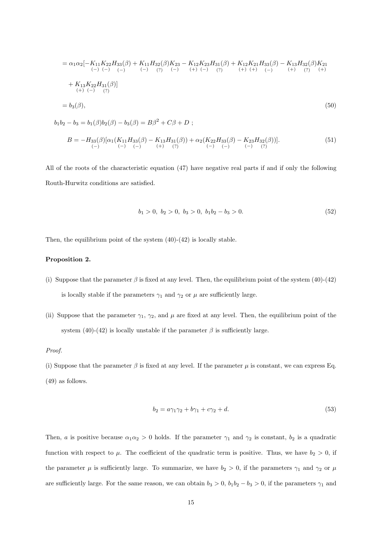$$
= \alpha_1 \alpha_2 [-K_{11}K_{22}H_{33}(\beta) + K_{11}H_{32}(\beta)K_{23} - K_{12}K_{23}H_{31}(\beta) + K_{12}K_{21}H_{33}(\beta) - K_{13}H_{32}(\beta)K_{21}
$$
  
\n
$$
+ K_{13}K_{22}H_{31}(\beta)]
$$
  
\n
$$
+ K_{13}K_{22}H_{31}(\beta)]
$$
  
\n
$$
= b_3(\beta),
$$
  
\n
$$
b_1b_2 - b_3 = b_1(\beta)b_2(\beta) - b_3(\beta) = B\beta^2 + C\beta + D ;
$$
\n(50)

$$
B = -H_{33}(\beta)[\alpha_1(K_{11}H_{33}(\beta) - K_{13}H_{31}(\beta)) + \alpha_2(K_{22}H_{33}(\beta) - K_{23}H_{32}(\beta))].
$$
\n
$$
(51)
$$
\n
$$
(-) \quad (-) \quad (-) \quad (+) \quad (?)
$$

All of the roots of the characteristic equation (47) have negative real parts if and if only the following Routh-Hurwitz conditions are satisfied.

$$
b_1 > 0, b_2 > 0, b_3 > 0, b_1b_2 - b_3 > 0.
$$
\n
$$
(52)
$$

Then, the equilibrium point of the system  $(40)-(42)$  is locally stable.

## **Proposition 2.**

- (i) Suppose that the parameter  $\beta$  is fixed at any level. Then, the equilibrium point of the system (40)-(42) is locally stable if the parameters  $\gamma_1$  and  $\gamma_2$  or  $\mu$  are sufficiently large.
- (ii) Suppose that the parameter  $\gamma_1$ ,  $\gamma_2$ , and  $\mu$  are fixed at any level. Then, the equilibrium point of the system  $(40)-(42)$  is locally unstable if the parameter  $\beta$  is sufficiently large.

#### *Proof.*

(i) Suppose that the parameter  $\beta$  is fixed at any level. If the parameter  $\mu$  is constant, we can express Eq. (49) as follows.

$$
b_2 = a\gamma_1\gamma_2 + b\gamma_1 + c\gamma_2 + d.\tag{53}
$$

Then, *a* is positive because  $\alpha_1 \alpha_2 > 0$  holds. If the parameter  $\gamma_1$  and  $\gamma_2$  is constant,  $b_2$  is a quadratic function with respect to  $\mu$ . The coefficient of the quadratic term is positive. Thus, we have  $b_2 > 0$ , if the parameter  $\mu$  is sufficiently large. To summarize, we have  $b_2 > 0$ , if the parameters  $\gamma_1$  and  $\gamma_2$  or  $\mu$ are sufficiently large. For the same reason, we can obtain  $b_3 > 0$ ,  $b_1b_2 - b_3 > 0$ , if the parameters  $\gamma_1$  and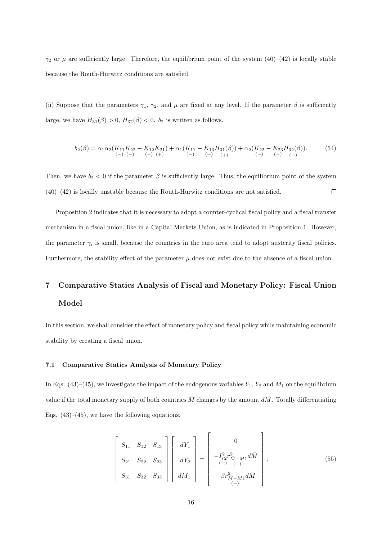*γ*<sub>2</sub> or *µ* are sufficiently large. Therefore, the equilibrium point of the system  $(40)–(42)$  is locally stable because the Routh-Hurwitz conditions are satisfied.

(ii) Suppose that the parameters  $\gamma_1$ ,  $\gamma_2$ , and  $\mu$  are fixed at any level. If the parameter  $\beta$  is sufficiently large, we have  $H_{31}(\beta) > 0$ ,  $H_{32}(\beta) < 0$ .  $b_2$  is written as follows.

$$
b_2(\beta) = \alpha_1 \alpha_2 (K_{11} K_{22} - K_{12} K_{21}) + \alpha_1 (K_{11} - K_{13} H_{31}(\beta)) + \alpha_2 (K_{22} - K_{23} H_{32}(\beta)).
$$
\n
$$
\text{(54)}
$$
\n
$$
\text{(-)} \quad \text{(-)} \quad \text{(-)} \quad \text{(-)} \quad \text{(-)} \quad \text{(-)} \quad \text{(-)} \quad \text{(-)} \quad \text{(-)}
$$

Then, we have  $b_2 < 0$  if the parameter  $\beta$  is sufficiently large. Thus, the equilibrium point of the system  $(40)$ – $(42)$  is locally unstable because the Routh-Hurwitz conditions are not satisfied.  $\Box$ 

Proposition 2 indicates that it is necessary to adopt a counter-cyclical fiscal policy and a fiscal transfer mechanism in a fiscal union, like in a Capital Markets Union, as is indicated in Proposition 1. However, the parameter  $\gamma_i$  is small, because the countries in the euro area tend to adopt austerity fiscal policies. Furthermore, the stability effect of the parameter  $\mu$  does not exist due to the absence of a fiscal union.

# **7 Comparative Statics Analysis of Fiscal and Monetary Policy: Fiscal Union Model**

In this section, we shall consider the effect of monetary policy and fiscal policy while maintaining economic stability by creating a fiscal union.

#### **7.1 Comparative Statics Analysis of Monetary Policy**

In Eqs.  $(43)$ – $(45)$ , we investigate the impact of the endogenous variables  $Y_1$ ,  $Y_2$  and  $M_1$  on the equilibrium value if the total monetary supply of both countries  $\bar{M}$  changes by the amount  $d\bar{M}$ . Totally differentiating Eqs.  $(43)$ – $(45)$ , we have the following equations.

$$
\begin{bmatrix}\nS_{11} & S_{12} & S_{13} \\
S_{21} & S_{22} & S_{23} \\
S_{31} & S_{32} & S_{33}\n\end{bmatrix}\n\begin{bmatrix}\ndY_1 \\
dY_2 \\
dM_1\n\end{bmatrix} = \begin{bmatrix}\n0 \\
-\int_{r_2}^{2} r_{M-M1}^2 d\bar{M} \\
\vdots \\
-\beta r_{\bar{M}-M1}^2 d\bar{M}\n\end{bmatrix},
$$
\n(55)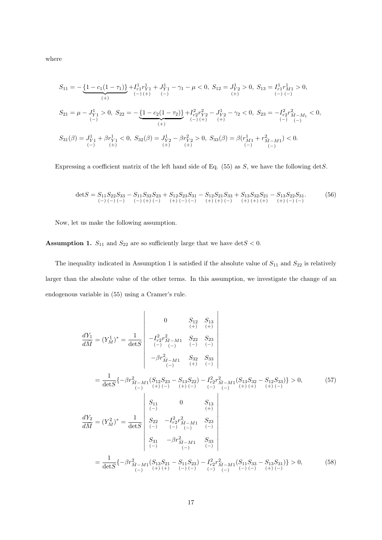where

$$
S_{11} = -\underbrace{\{1 - c_1(1-\tau_1)\}}_{(+)} + I_{r_1}^1 r_{Y_1}^1 + J_{Y_1}^1 - \gamma_1 - \mu < 0, \ S_{12} = J_{Y_2}^1 > 0, \ S_{13} = I_{r_1}^1 r_{M_1}^1 > 0,
$$
\n
$$
S_{21} = \mu - J_{Y_1}^1 > 0, \ S_{22} = -\underbrace{\{1 - c_2(1-\tau_2)\}}_{(+)} + I_{r_2}^2 r_{Y_2}^2 - J_{Y_2}^1 - \gamma_2 < 0, \ S_{23} = -I_{r_2}^2 r_{M-M_1}^2 < 0,
$$
\n
$$
S_{31}(\beta) = J_{Y_1}^1 + \beta r_{Y_1}^1 < 0, \ S_{32}(\beta) = J_{Y_2}^1 - \beta r_{Y_2}^2 > 0, \ S_{33}(\beta) = \beta (r_{M_1}^1 + r_{M-M_1}^2) < 0.
$$
\n
$$
S_{31}(\beta) = J_{Y_1}^1 + \beta r_{Y_1}^1 < 0, \ S_{32}(\beta) = J_{Y_2}^1 - \beta r_{Y_2}^2 > 0, \ S_{33}(\beta) = \beta (r_{M_1}^1 + r_{M-M_1}^2) < 0.
$$

Expressing a coefficient matrix of the left hand side of Eq. (55) as *S*, we have the following det*S*.

det*S* = *S*<sup>11</sup> (*−*) *S*<sup>22</sup> (*−*) *S*<sup>33</sup> (*−*) *− S*<sup>11</sup> (*−*) *S*<sup>32</sup> (+) *S*<sup>23</sup> (*−*) + *S*<sup>12</sup> (+) *S*<sup>23</sup> (*−*) *S*<sup>31</sup> (*−*) *− S*<sup>12</sup> (+) *S*<sup>21</sup> (+) *S*<sup>33</sup> (*−*) + *S*<sup>13</sup> (+) *S*<sup>32</sup> (+) *S*<sup>21</sup> (+) *− S*<sup>13</sup> (+) *S*<sup>22</sup> (*−*) *S*<sup>31</sup> (*−*) *.* (56)

Now, let us make the following assumption.

**Assumption 1.**  $S_{11}$  and  $S_{22}$  are so sufficiently large that we have  $\det S < 0$ .

The inequality indicated in Assumption 1 is satisfied if the absolute value of  $S_{11}$  and  $S_{22}$  is relatively larger than the absolute value of the other terms. In this assumption, we investigate the change of an endogenous variable in (55) using a Cramer's rule.

$$
\frac{dY_1}{d\overline{M}} = (Y_{\overline{M}}^1)^* = \frac{1}{\det S} \begin{vmatrix}\n0 & S_{12} & S_{13} \\
(+) & (+) & (+) \\
(-) & (-) & (-)\n\end{vmatrix}
$$
\n
$$
= \frac{1}{\det S} \left\{ -\beta r_{\overline{M-M1}}^2 & S_{22} & S_{23} \\
-\beta r_{\overline{M-M1}}^2 & S_{32} & S_{33} \\
(-) & (+) & (-)\n\end{vmatrix}
$$
\n
$$
= \frac{1}{\det S} \left\{ -\beta r_{\overline{M-M1}}^2 (S_{12}S_{23} - S_{13}S_{22}) - I_{r2}^2 r_{\overline{M-M1}}^2 (S_{13}S_{32} - S_{12}S_{33}) \right\} > 0, \qquad (57)
$$
\n
$$
\frac{dY_2}{d\overline{M}} = (Y_{\overline{M}}^2)^* = \frac{1}{\det S} \begin{vmatrix}\nS_{11} & 0 & S_{13} \\
(+) & (-) & (+) & (-) \\
(-) & (-) & (-) \\
(-) & (-) & (-)\n\end{vmatrix}
$$
\n
$$
= \frac{dY_2}{d\overline{M}} = (Y_{\overline{M}}^2)^* = \frac{1}{\det S} \begin{vmatrix}\nS_{22} & -I_{r2}^2 r_{\overline{M-M1}}^2 & S_{23} \\
S_{22} & -I_{r2}^2 r_{\overline{M-M1}}^2 & S_{23} \\
(+) & (-) & (-) & (-)\n\end{vmatrix}
$$
\n
$$
= \frac{1}{\det S} \left\{ -\beta r_{\overline{M-M1}}^2 (S_{13}S_{21} - S_{11}S_{23}) - I_{r2}^2 r_{\overline{M-M1}}^2 (S_{11}S_{33} - S_{13}S_{31}) \right\} > 0, \qquad (58)
$$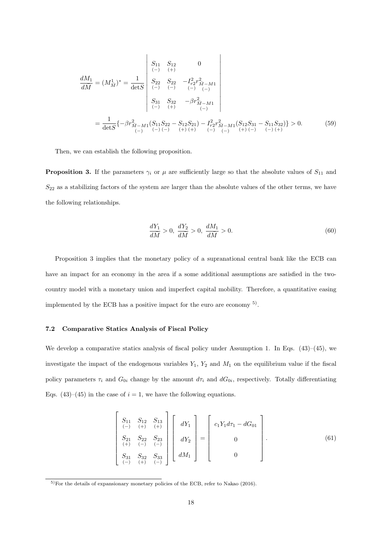$$
\frac{dM_1}{d\overline{M}} = (M_{\overline{M}}^1)^* = \frac{1}{\det S} \begin{vmatrix} S_{11} & S_{12} & 0 \\ \frac{S_{22}}{\cdots} S_{22} & -I_{r2}^2 r_{\overline{M} - M1}^2 \\ \frac{S_{23}}{\cdots} S_{32} & -I_{r2}^2 r_{\overline{M} - M1}^2 \\ S_{31} & S_{32} & -\beta r_{\overline{M} - M1}^2 \\ \frac{S_{31}}{\cdots} S_{32} & -\beta r_{\overline{M} - M1}^2 \end{vmatrix}
$$
\n
$$
= \frac{1}{\det S} \{ -\beta r_{\overline{M} - M1}^2 (S_{11} S_{22} - S_{12} S_{21}) - I_{r2}^2 r_{\overline{M} - M1}^2 (S_{12} S_{31} - S_{11} S_{32}) \} > 0. \tag{59}
$$

Then, we can establish the following proposition.

**Proposition 3.** If the parameters  $\gamma_i$  or  $\mu$  are sufficiently large so that the absolute values of  $S_{11}$  and *S*<sup>22</sup> as a stabilizing factors of the system are larger than the absolute values of the other terms, we have the following relationships.

$$
\frac{dY_1}{d\bar{M}} > 0, \ \frac{dY_2}{d\bar{M}} > 0, \ \frac{dM_1}{d\bar{M}} > 0.
$$
\n(60)

Proposition 3 implies that the monetary policy of a supranational central bank like the ECB can have an impact for an economy in the area if a some additional assumptions are satisfied in the twocountry model with a monetary union and imperfect capital mobility. Therefore, a quantitative easing implemented by the ECB has a positive impact for the euro are economy 5) .

#### **7.2 Comparative Statics Analysis of Fiscal Policy**

We develop a comparative statics analysis of fiscal policy under Assumption 1. In Eqs. (43)–(45), we investigate the impact of the endogenous variables *Y*1, *Y*<sup>2</sup> and *M*<sup>1</sup> on the equilibrium value if the fiscal policy parameters  $\tau_i$  and  $G_{0i}$  change by the amount  $d\tau_i$  and  $dG_{0i}$ , respectively. Totally differentiating Eqs.  $(43)$ – $(45)$  in the case of  $i = 1$ , we have the following equations.

$$
\begin{bmatrix}\nS_{11} & S_{12} & S_{13} \\
(-) & (+) & (+) & (-) \\
S_{21} & S_{22} & S_{23} \\
(+) & (-) & (-) & (-) \\
S_{31} & S_{32} & S_{33} & dM_1\n\end{bmatrix}\n\begin{bmatrix}\ndY_1 \\
dY_2 \\
dM_1\n\end{bmatrix} = \begin{bmatrix}\nc_1Y_1d\tau_1 - dG_{01} \\
0 \\
0 \\
0\n\end{bmatrix}.
$$
\n(61)

<sup>5)</sup>For the details of expansionary monetary policies of the ECB, refer to Nakao (2016).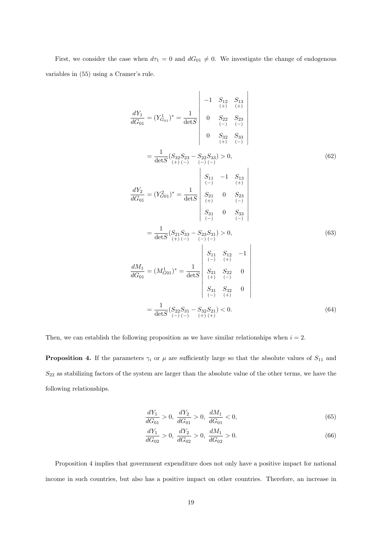First, we consider the case when  $d\tau_1 = 0$  and  $dG_{01} \neq 0$ . We investigate the change of endogenous variables in (55) using a Cramer's rule.

$$
\frac{dY_1}{dG_{01}} = (Y_{G_{01}}^1)^* = \frac{1}{\det S} \begin{vmatrix}\n-1 & S_{12} & S_{13} \\
(+) & (+) & (+) \\
0 & S_{22} & S_{23} \\
(+) & (-) & (-)\n\end{vmatrix}
$$
\n
$$
= \frac{1}{\det S} (S_{32}S_{23} - S_{22}S_{33}) > 0,
$$
\n(62)\n
$$
\frac{dY_2}{dG_{01}} = (Y_{G_{01}}^2)^* = \frac{1}{\det S} \begin{vmatrix}\nS_{11} & -1 & S_{13} \\
S_{11} & -1 & S_{13} \\
(+) & (-) & (+)\n\end{vmatrix}
$$
\n
$$
= \frac{1}{\det S} (S_{21}S_{33} - S_{23}S_{31}) > 0,
$$
\n(63)\n
$$
= \frac{1}{\det S} (S_{21}S_{33} - S_{23}S_{31}) > 0,
$$
\n(63)\n
$$
\begin{vmatrix}\nS_{11} & S_{12} & -1 \\
(+) & (-) & (-) \\
(+) & (-) & (-)\n\end{vmatrix}
$$
\n
$$
= \frac{dM_1}{dG_{01}} = (M_{G_{01}}^1)^* = \frac{1}{\det S} \begin{vmatrix}\nS_{21} & S_{22} & 0 \\
S_{21} & S_{22} & 0 \\
(+) & (-) & (+)\n\end{vmatrix}
$$
\n
$$
= \frac{1}{\det S} (S_{22}S_{31} - S_{32}S_{21}) < 0.
$$
\n(64)

Then, we can establish the following proposition as we have similar relationships when  $i = 2$ .

**Proposition 4.** If the parameters  $\gamma_i$  or  $\mu$  are sufficiently large so that the absolute values of  $S_{11}$  and *S*<sup>22</sup> as stabilizing factors of the system are larger than the absolute value of the other terms, we have the following relationships.

$$
\frac{dY_1}{dG_{01}} > 0, \ \frac{dY_2}{dG_{01}} > 0, \ \frac{dM_1}{dG_{01}} < 0,\tag{65}
$$

$$
\frac{dY_1}{dG_{02}} > 0, \ \frac{dY_2}{dG_{02}} > 0, \ \frac{dM_1}{dG_{02}} > 0.
$$
\n(66)

Proposition 4 implies that government expenditure does not only have a positive impact for national income in such countries, but also has a positive impact on other countries. Therefore, an increase in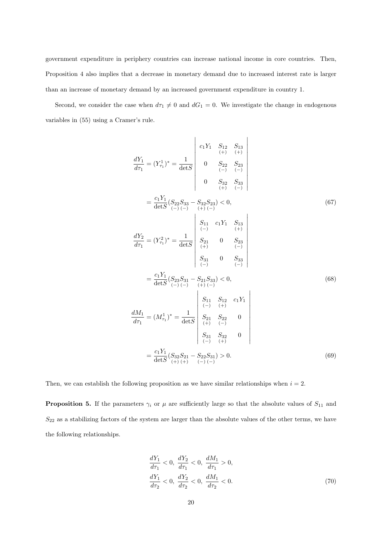government expenditure in periphery countries can increase national income in core countries. Then, Proposition 4 also implies that a decrease in monetary demand due to increased interest rate is larger than an increase of monetary demand by an increased government expenditure in country 1.

Second, we consider the case when  $d\tau_1 \neq 0$  and  $dG_1 = 0$ . We investigate the change in endogenous variables in (55) using a Cramer's rule.

$$
\frac{dY_1}{d\tau_1} = (Y_{\tau_1}^1)^* = \frac{1}{\det S} \begin{vmatrix} c_1 Y_1 & S_{12} & S_{13} \\ 0 & S_{22} & S_{23} \\ 0 & S_{22} & S_{23} \\ 0 & S_{32} & S_{33} \\ 0 & S_{32} & S_{33} \end{vmatrix}
$$

$$
= \frac{c_1 Y_1}{\det S} (S_{22} S_{33} - S_{32} S_{23}) < 0, \qquad (67)
$$

$$
\frac{dY_2}{d\tau_1} = (Y_{\tau_1}^2)^* = \frac{1}{\det S} \begin{vmatrix} S_{11} & c_1 Y_1 & S_{13} \\ S_{(+)} & 0 & S_{23} \\ 0 & 0 & S_{33} \\ 0 & 0 & S_{33} \end{vmatrix}
$$

$$
= \frac{c_1 Y_1}{\det S} (S_{23} S_{31} - S_{21} S_{33}) < 0, \qquad (68)
$$

$$
= \frac{c_1 Y_1}{\det S} (S_{23} S_{31} - S_{21} S_{33}) < 0, \qquad (68)
$$

$$
\begin{vmatrix} S_{11} & S_{12} & c_1 Y_1 \\ S_{11} & S_{12} & c_1 Y_1 \\ 0 & 0 & 0 \end{vmatrix}
$$

$$
= \frac{dM_1}{d\tau_1} = (M_{\tau_1}^1)^* = \frac{1}{\det S} \begin{vmatrix} S_{11} & S_{22} & 0 \\ S_{21} & S_{22} & 0 \\ 0 & 0 & 0 \end{vmatrix}
$$

$$
= \frac{c_1 Y_1}{\det S} (S_{32} S_{21} - S_{22} S_{31}) > 0.
$$

$$
(69)
$$

Then, we can establish the following proposition as we have similar relationships when  $i = 2$ .

**Proposition 5.** If the parameters  $\gamma_i$  or  $\mu$  are sufficiently large so that the absolute values of  $S_{11}$  and *S*<sup>22</sup> as a stabilizing factors of the system are larger than the absolute values of the other terms, we have the following relationships.

$$
\frac{dY_1}{d\tau_1} < 0, \frac{dY_2}{d\tau_1} < 0, \frac{dM_1}{d\tau_1} > 0, \\
\frac{dY_1}{d\tau_2} < 0, \frac{dY_2}{d\tau_2} < 0, \frac{dM_1}{d\tau_2} < 0.\n\tag{70}
$$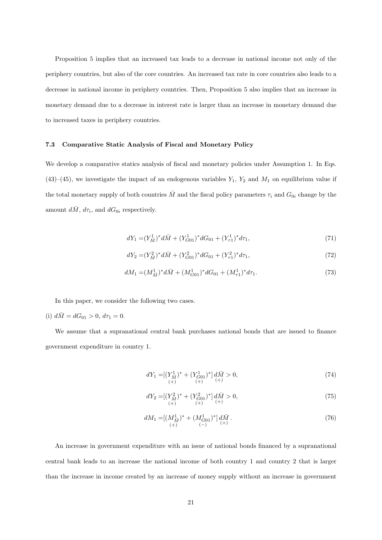Proposition 5 implies that an increased tax leads to a decrease in national income not only of the periphery countries, but also of the core countries. An increased tax rate in core countries also leads to a decrease in national income in periphery countries. Then, Proposition 5 also implies that an increase in monetary demand due to a decrease in interest rate is larger than an increase in monetary demand due to increased taxes in periphery countries.

### **7.3 Comparative Static Analysis of Fiscal and Monetary Policy**

We develop a comparative statics analysis of fiscal and monetary policies under Assumption 1. In Eqs. (43)–(45), we investigate the impact of an endogenous variables  $Y_1$ ,  $Y_2$  and  $M_1$  on equilibrium value if the total monetary supply of both countries  $\overline{M}$  and the fiscal policy parameters  $\tau_i$  and  $G_{0i}$  change by the amount  $d\overline{M}$ ,  $d\tau_i$ , and  $dG_{0i}$  respectively.

$$
dY_1 = (Y_M^1)^* d\bar{M} + (Y_{G01}^1)^* dG_{01} + (Y_{\tau 1}^1)^* d\tau_1, \tag{71}
$$

$$
dY_2 = (Y_M^2)^* d\bar{M} + (Y_{G01}^2)^* dG_{01} + (Y_{\tau 1}^2)^* d\tau_1, \tag{72}
$$

$$
dM_1 = (M_{\bar{M}}^1)^* d\bar{M} + (M_{G01}^1)^* dG_{01} + (M_{\tau 1}^1)^* d\tau_1.
$$
\n
$$
(73)
$$

In this paper, we consider the following two cases.

(i) 
$$
d\overline{M} = dG_{01} > 0, d\tau_1 = 0.
$$

We assume that a supranational central bank purchases national bonds that are issued to finance government expenditure in country 1.

$$
dY_1 = [(Y_{\bar{M}}^1)^* + (Y_{G01}^1)^*] \, d\bar{M} > 0,\tag{74} \\ (+) \quad (+)
$$

$$
dY_2 = \left[ \left( Y_{\bar{M}}^2 \right)^* + \left( Y_{G01}^2 \right)^* \right] d\bar{M} > 0, \tag{75}
$$

$$
dM_1 = [(M_{\bar{M}}^1)^* + (M_{G01}^1)^*] \, d\bar{M} \,. \tag{76}
$$

An increase in government expenditure with an issue of national bonds financed by a supranational central bank leads to an increase the national income of both country 1 and country 2 that is larger than the increase in income created by an increase of money supply without an increase in government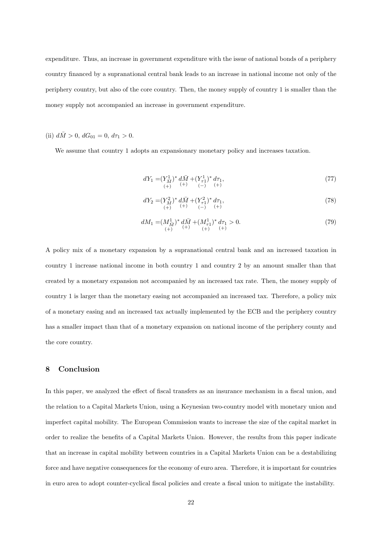expenditure. Thus, an increase in government expenditure with the issue of national bonds of a periphery country financed by a supranational central bank leads to an increase in national income not only of the periphery country, but also of the core country. Then, the money supply of country 1 is smaller than the money supply not accompanied an increase in government expenditure.

# (ii)  $d\bar{M} > 0$ ,  $dG_{01} = 0$ ,  $d\tau_1 > 0$ .

We assume that country 1 adopts an expansionary monetary policy and increases taxation.

$$
dY_1 = (Y_{\bar{M}}^1)^* d\bar{M} + (Y_{\tau 1}^1)^* d\tau_1,
$$
  
(+)  $(+)$  (+)  $(-)$  (+)  $(+)$ 

$$
dY_2 = (Y_{\bar{M}}^2)^* d\bar{M} + (Y_{\tau 1}^2)^* d\tau_1, \n(+) ^{(+)} ^{(-)} ^{(-)} ^{(-)} ^{(-)}.
$$
\n(78)

$$
dM_1 = (M_{\bar{M}}^1)^* d\bar{M} + (M_{\tau 1}^1)^* d\tau_1 > 0.
$$
  
(79)  

$$
(+)
$$
  
(79)

A policy mix of a monetary expansion by a supranational central bank and an increased taxation in country 1 increase national income in both country 1 and country 2 by an amount smaller than that created by a monetary expansion not accompanied by an increased tax rate. Then, the money supply of country 1 is larger than the monetary easing not accompanied an increased tax. Therefore, a policy mix of a monetary easing and an increased tax actually implemented by the ECB and the periphery country has a smaller impact than that of a monetary expansion on national income of the periphery county and the core country.

## **8 Conclusion**

In this paper, we analyzed the effect of fiscal transfers as an insurance mechanism in a fiscal union, and the relation to a Capital Markets Union, using a Keynesian two-country model with monetary union and imperfect capital mobility. The European Commission wants to increase the size of the capital market in order to realize the benefits of a Capital Markets Union. However, the results from this paper indicate that an increase in capital mobility between countries in a Capital Markets Union can be a destabilizing force and have negative consequences for the economy of euro area. Therefore, it is important for countries in euro area to adopt counter-cyclical fiscal policies and create a fiscal union to mitigate the instability.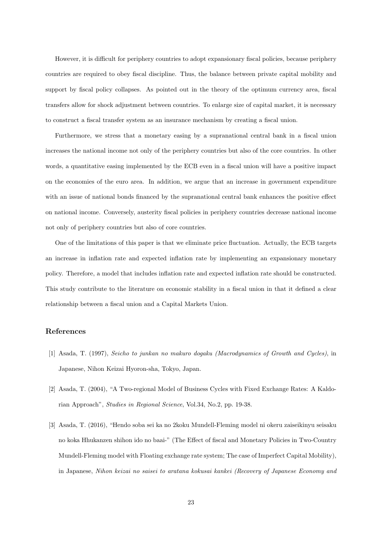However, it is difficult for periphery countries to adopt expansionary fiscal policies, because periphery countries are required to obey fiscal discipline. Thus, the balance between private capital mobility and support by fiscal policy collapses. As pointed out in the theory of the optimum currency area, fiscal transfers allow for shock adjustment between countries. To enlarge size of capital market, it is necessary to construct a fiscal transfer system as an insurance mechanism by creating a fiscal union.

Furthermore, we stress that a monetary easing by a supranational central bank in a fiscal union increases the national income not only of the periphery countries but also of the core countries. In other words, a quantitative easing implemented by the ECB even in a fiscal union will have a positive impact on the economies of the euro area. In addition, we argue that an increase in government expenditure with an issue of national bonds financed by the supranational central bank enhances the positive effect on national income. Conversely, austerity fiscal policies in periphery countries decrease national income not only of periphery countries but also of core countries.

One of the limitations of this paper is that we eliminate price fluctuation. Actually, the ECB targets an increase in inflation rate and expected inflation rate by implementing an expansionary monetary policy. Therefore, a model that includes inflation rate and expected inflation rate should be constructed. This study contribute to the literature on economic stability in a fiscal union in that it defined a clear relationship between a fiscal union and a Capital Markets Union.

## **References**

- [1] Asada, T. (1997), *Seicho to junkan no makuro dogaku (Macrodynamics of Growth and Cycles)*, in Japanese, Nihon Keizai Hyoron-sha, Tokyo, Japan.
- [2] Asada, T. (2004), "A Two-regional Model of Business Cycles with Fixed Exchange Rates: A Kaldorian Approach", *Studies in Regional Science*, Vol.34, No.2, pp. 19-38.
- [3] Asada, T. (2016), "Hendo soba sei ka no 2koku Mundell-Fleming model ni okeru zaiseikinyu seisaku no koka Hhukanzen shihon ido no baai-" (The Effect of fiscal and Monetary Policies in Two-Country Mundell-Fleming model with Floating exchange rate system; The case of Imperfect Capital Mobility), in Japanese, *Nihon keizai no saisei to aratana kokusai kankei (Recovery of Japanese Economy and*